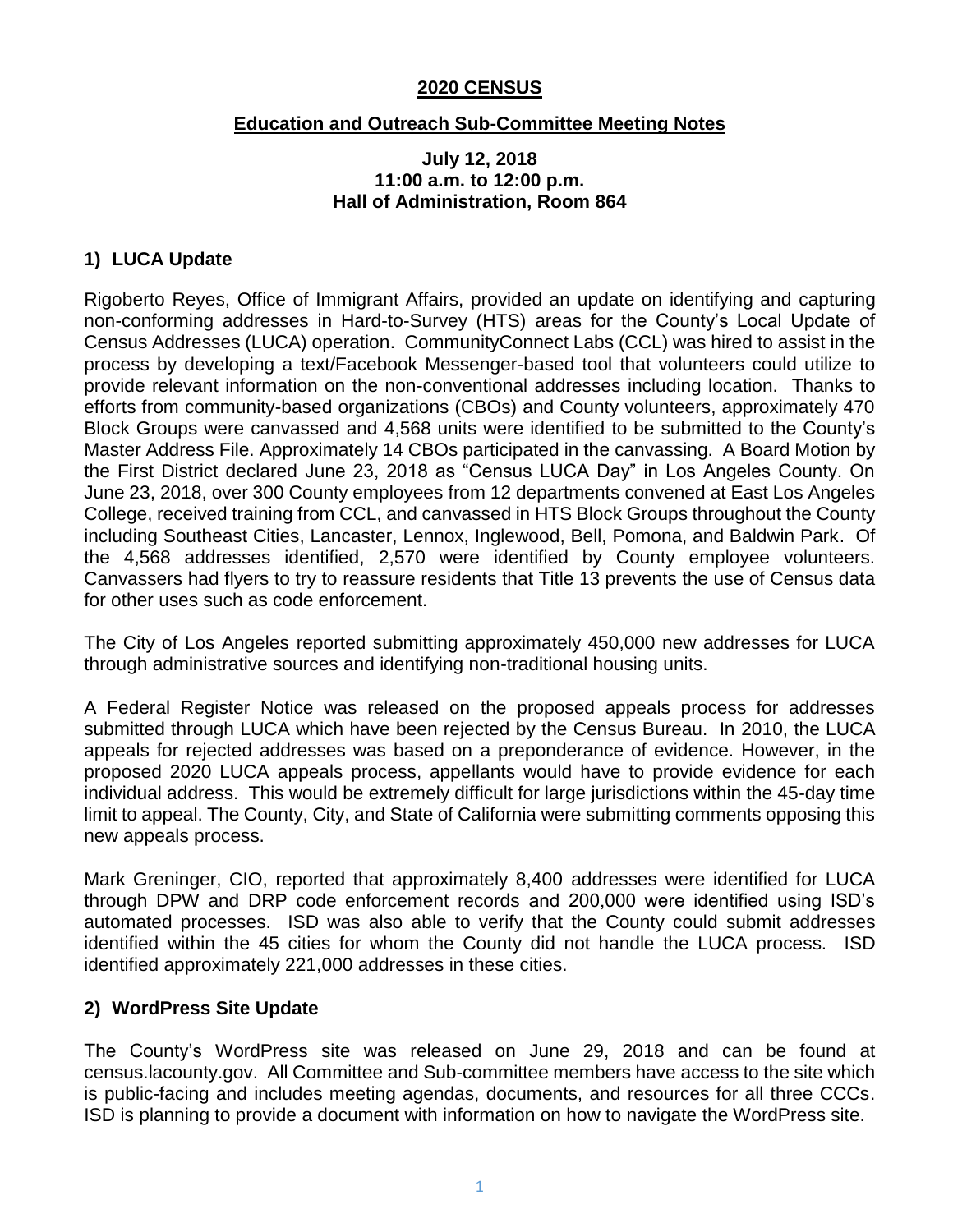#### **2020 CENSUS**

#### **Education and Outreach Sub-Committee Meeting Notes**

#### **July 12, 2018 11:00 a.m. to 12:00 p.m. Hall of Administration, Room 864**

# **1) LUCA Update**

Rigoberto Reyes, Office of Immigrant Affairs, provided an update on identifying and capturing non-conforming addresses in Hard-to-Survey (HTS) areas for the County's Local Update of Census Addresses (LUCA) operation. CommunityConnect Labs (CCL) was hired to assist in the process by developing a text/Facebook Messenger-based tool that volunteers could utilize to provide relevant information on the non-conventional addresses including location. Thanks to efforts from community-based organizations (CBOs) and County volunteers, approximately 470 Block Groups were canvassed and 4,568 units were identified to be submitted to the County's Master Address File. Approximately 14 CBOs participated in the canvassing. A Board Motion by the First District declared June 23, 2018 as "Census LUCA Day" in Los Angeles County. On June 23, 2018, over 300 County employees from 12 departments convened at East Los Angeles College, received training from CCL, and canvassed in HTS Block Groups throughout the County including Southeast Cities, Lancaster, Lennox, Inglewood, Bell, Pomona, and Baldwin Park. Of the 4,568 addresses identified, 2,570 were identified by County employee volunteers. Canvassers had flyers to try to reassure residents that Title 13 prevents the use of Census data for other uses such as code enforcement.

The City of Los Angeles reported submitting approximately 450,000 new addresses for LUCA through administrative sources and identifying non-traditional housing units.

A Federal Register Notice was released on the proposed appeals process for addresses submitted through LUCA which have been rejected by the Census Bureau. In 2010, the LUCA appeals for rejected addresses was based on a preponderance of evidence. However, in the proposed 2020 LUCA appeals process, appellants would have to provide evidence for each individual address. This would be extremely difficult for large jurisdictions within the 45-day time limit to appeal. The County, City, and State of California were submitting comments opposing this new appeals process.

Mark Greninger, CIO, reported that approximately 8,400 addresses were identified for LUCA through DPW and DRP code enforcement records and 200,000 were identified using ISD's automated processes. ISD was also able to verify that the County could submit addresses identified within the 45 cities for whom the County did not handle the LUCA process. ISD identified approximately 221,000 addresses in these cities.

## **2) WordPress Site Update**

The County's WordPress site was released on June 29, 2018 and can be found at census.lacounty.gov. All Committee and Sub-committee members have access to the site which is public-facing and includes meeting agendas, documents, and resources for all three CCCs. ISD is planning to provide a document with information on how to navigate the WordPress site.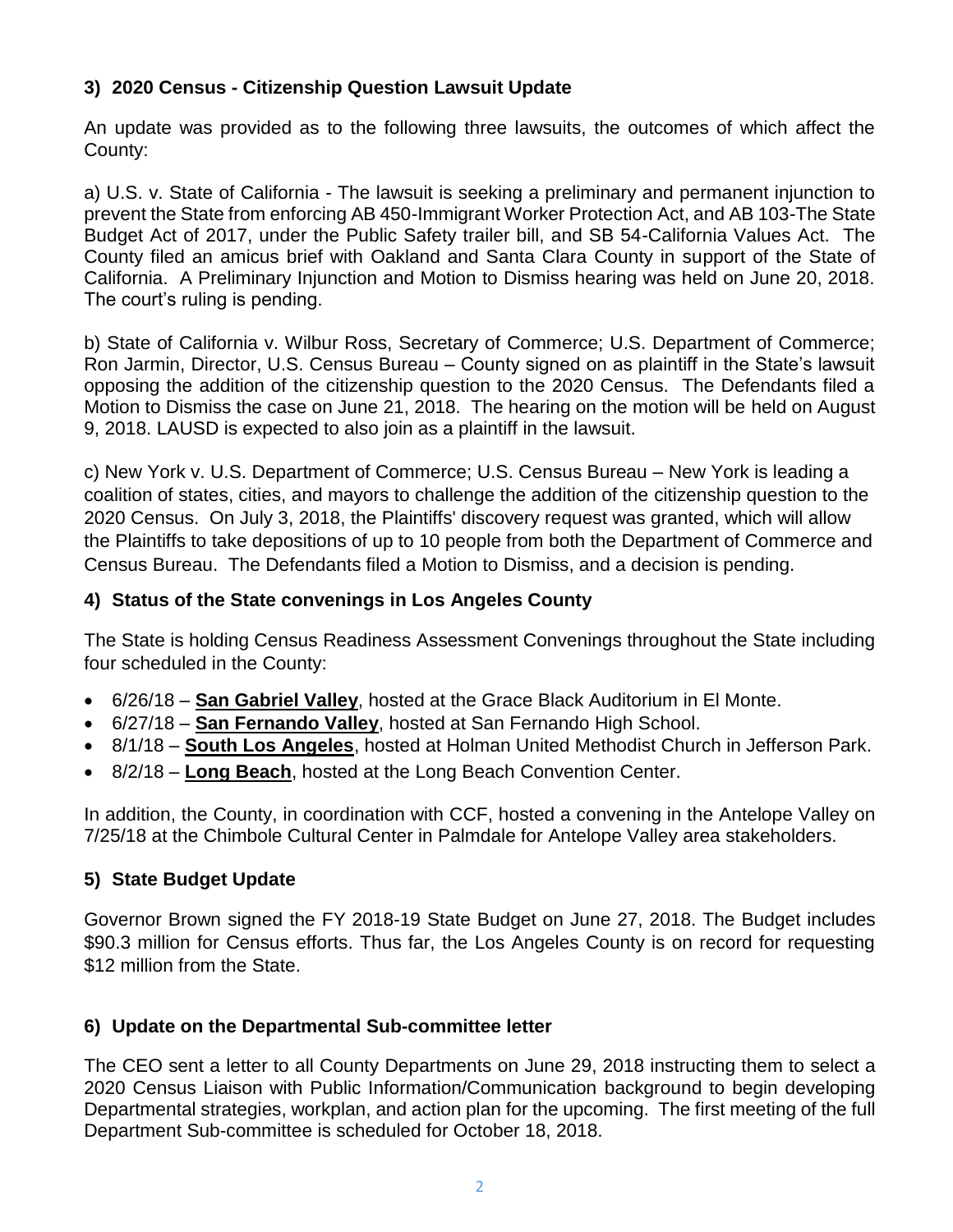# **3) 2020 Census - Citizenship Question Lawsuit Update**

An update was provided as to the following three lawsuits, the outcomes of which affect the County:

a) U.S. v. State of California - The lawsuit is seeking a preliminary and permanent injunction to prevent the State from enforcing AB 450-Immigrant Worker Protection Act, and AB 103-The State Budget Act of 2017, under the Public Safety trailer bill, and SB 54-California Values Act. The County filed an amicus brief with Oakland and Santa Clara County in support of the State of California. A Preliminary Injunction and Motion to Dismiss hearing was held on June 20, 2018. The court's ruling is pending.

b) State of California v. Wilbur Ross, Secretary of Commerce; U.S. Department of Commerce; Ron Jarmin, Director, U.S. Census Bureau – County signed on as plaintiff in the State's lawsuit opposing the addition of the citizenship question to the 2020 Census. The Defendants filed a Motion to Dismiss the case on June 21, 2018. The hearing on the motion will be held on August 9, 2018. LAUSD is expected to also join as a plaintiff in the lawsuit.

c) New York v. U.S. Department of Commerce; U.S. Census Bureau – New York is leading a coalition of states, cities, and mayors to challenge the addition of the citizenship question to the 2020 Census. On July 3, 2018, the Plaintiffs' discovery request was granted, which will allow the Plaintiffs to take depositions of up to 10 people from both the Department of Commerce and Census Bureau. The Defendants filed a Motion to Dismiss, and a decision is pending.

## **4) Status of the State convenings in Los Angeles County**

The State is holding Census Readiness Assessment Convenings throughout the State including four scheduled in the County:

- 6/26/18 **San Gabriel Valley**, hosted at the Grace Black Auditorium in El Monte.
- 6/27/18 **San Fernando Valley**, hosted at San Fernando High School.
- 8/1/18 **South Los Angeles**, hosted at Holman United Methodist Church in Jefferson Park.
- 8/2/18 **Long Beach**, hosted at the Long Beach Convention Center.

In addition, the County, in coordination with CCF, hosted a convening in the Antelope Valley on 7/25/18 at the Chimbole Cultural Center in Palmdale for Antelope Valley area stakeholders.

## **5) State Budget Update**

Governor Brown signed the FY 2018-19 State Budget on June 27, 2018. The Budget includes \$90.3 million for Census efforts. Thus far, the Los Angeles County is on record for requesting \$12 million from the State.

#### **6) Update on the Departmental Sub-committee letter**

The CEO sent a letter to all County Departments on June 29, 2018 instructing them to select a 2020 Census Liaison with Public Information/Communication background to begin developing Departmental strategies, workplan, and action plan for the upcoming. The first meeting of the full Department Sub-committee is scheduled for October 18, 2018.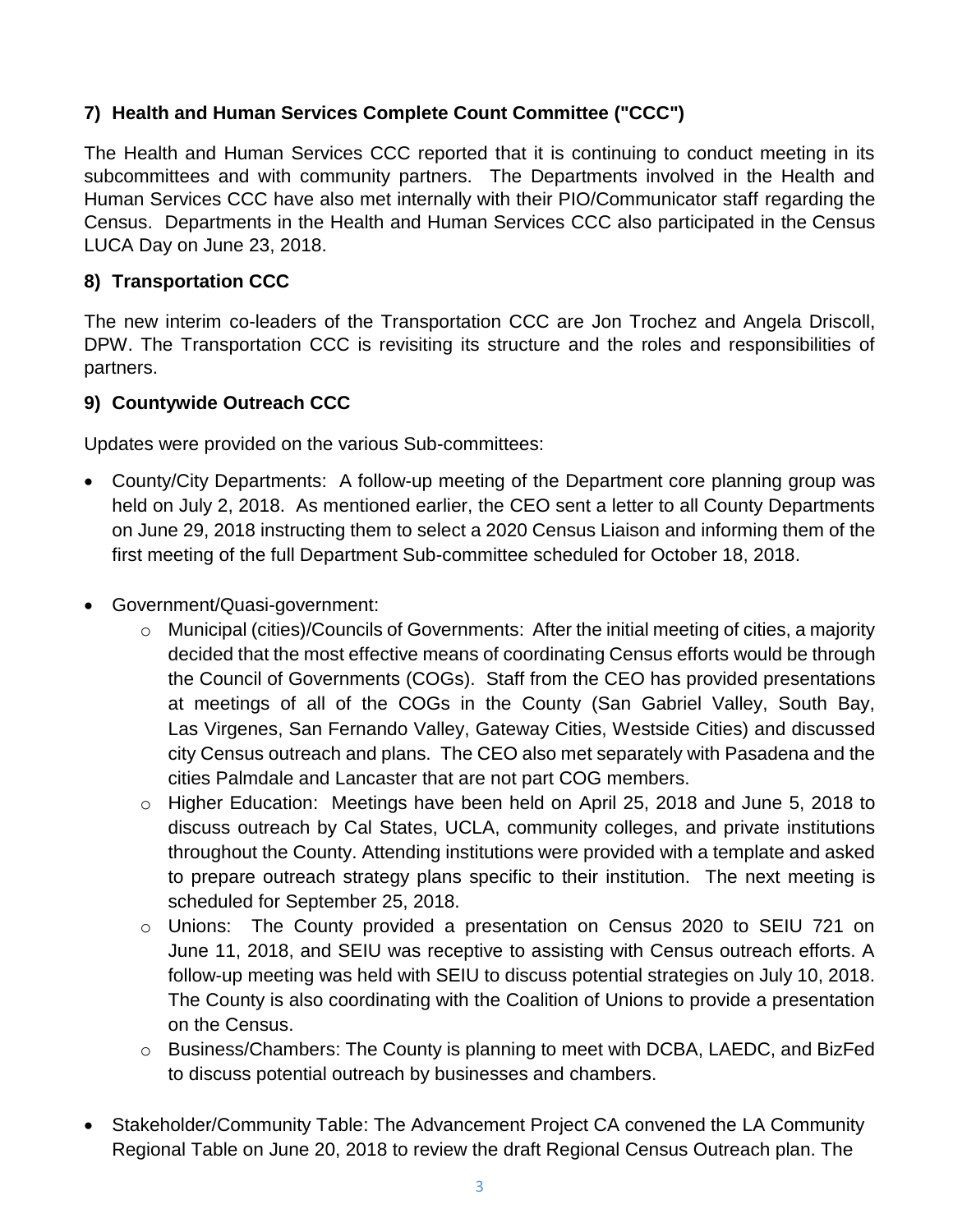# **7) Health and Human Services Complete Count Committee ("CCC")**

The Health and Human Services CCC reported that it is continuing to conduct meeting in its subcommittees and with community partners. The Departments involved in the Health and Human Services CCC have also met internally with their PIO/Communicator staff regarding the Census. Departments in the Health and Human Services CCC also participated in the Census LUCA Day on June 23, 2018.

# **8) Transportation CCC**

The new interim co-leaders of the Transportation CCC are Jon Trochez and Angela Driscoll, DPW. The Transportation CCC is revisiting its structure and the roles and responsibilities of partners.

## **9) Countywide Outreach CCC**

Updates were provided on the various Sub-committees:

- County/City Departments: A follow-up meeting of the Department core planning group was held on July 2, 2018. As mentioned earlier, the CEO sent a letter to all County Departments on June 29, 2018 instructing them to select a 2020 Census Liaison and informing them of the first meeting of the full Department Sub-committee scheduled for October 18, 2018.
- Government/Quasi-government:
	- o Municipal (cities)/Councils of Governments: After the initial meeting of cities, a majority decided that the most effective means of coordinating Census efforts would be through the Council of Governments (COGs). Staff from the CEO has provided presentations at meetings of all of the COGs in the County (San Gabriel Valley, South Bay, Las Virgenes, San Fernando Valley, Gateway Cities, Westside Cities) and discussed city Census outreach and plans. The CEO also met separately with Pasadena and the cities Palmdale and Lancaster that are not part COG members.
	- $\circ$  Higher Education: Meetings have been held on April 25, 2018 and June 5, 2018 to discuss outreach by Cal States, UCLA, community colleges, and private institutions throughout the County. Attending institutions were provided with a template and asked to prepare outreach strategy plans specific to their institution. The next meeting is scheduled for September 25, 2018.
	- o Unions: The County provided a presentation on Census 2020 to SEIU 721 on June 11, 2018, and SEIU was receptive to assisting with Census outreach efforts. A follow-up meeting was held with SEIU to discuss potential strategies on July 10, 2018. The County is also coordinating with the Coalition of Unions to provide a presentation on the Census.
	- o Business/Chambers: The County is planning to meet with DCBA, LAEDC, and BizFed to discuss potential outreach by businesses and chambers.
- Stakeholder/Community Table: The Advancement Project CA convened the LA Community Regional Table on June 20, 2018 to review the draft Regional Census Outreach plan. The